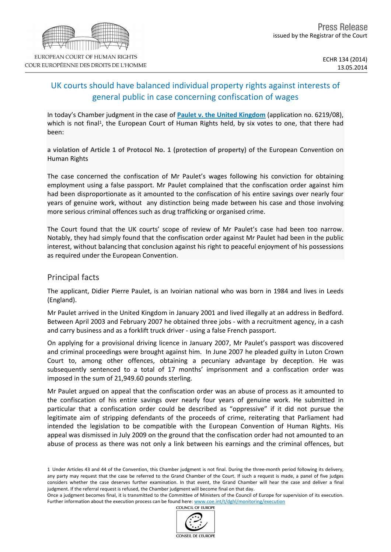# UK courts should have balanced individual property rights against interests of general public in case concerning confiscation of wages

In today's Chamber judgment in the case of **[Paulet](http://hudoc.echr.coe.int/sites/eng/pages/search.aspx?i=001-142961) [v.](http://hudoc.echr.coe.int/sites/eng/pages/search.aspx?i=001-142961) [the](http://hudoc.echr.coe.int/sites/eng/pages/search.aspx?i=001-142961) [United](http://hudoc.echr.coe.int/sites/eng/pages/search.aspx?i=001-142961) [Kingdom](http://hudoc.echr.coe.int/sites/eng/pages/search.aspx?i=001-142961)** (application no. 6219/08), which is not final<sup>1</sup>, the European Court of Human Rights held, by six votes to one, that there had been:

**a violation of Article 1 of Protocol No. 1 (protection of property)** of the European Convention on Human Rights

The case concerned the confiscation of Mr Paulet's wages following his conviction for obtaining employment using a false passport. Mr Paulet complained that the confiscation order against him had been disproportionate as it amounted to the confiscation of his entire savings over nearly four years of genuine work, without any distinction being made between his case and those involving more serious criminal offences such as drug trafficking or organised crime.

The Court found that the UK courts' scope of review of Mr Paulet's case had been too narrow. Notably, they had simply found that the confiscation order against Mr Paulet had been in the public interest, without balancing that conclusion against his right to peaceful enjoyment of his possessions as required under the European Convention.

## Principal facts

The applicant, Didier Pierre Paulet, is an Ivoirian national who was born in 1984 and lives in Leeds (England).

Mr Paulet arrived in the United Kingdom in January 2001 and lived illegally at an address in Bedford. Between April 2003 and February 2007 he obtained three jobs - with a recruitment agency, in a cash and carry business and as a forklift truck driver - using a false French passport.

On applying for a provisional driving licence in January 2007, Mr Paulet's passport was discovered and criminal proceedings were brought against him. In June 2007 he pleaded guilty in Luton Crown Court to, among other offences, obtaining a pecuniary advantage by deception. He was subsequently sentenced to a total of 17 months' imprisonment and a confiscation order was imposed in the sum of 21,949.60 pounds sterling.

Mr Paulet argued on appeal that the confiscation order was an abuse of process as it amounted to the confiscation of his entire savings over nearly four years of genuine work. He submitted in particular that a confiscation order could be described as "oppressive" if it did not pursue the legitimate aim of stripping defendants of the proceeds of crime, reiterating that Parliament had intended the legislation to be compatible with the European Convention of Human Rights. His appeal was dismissed in July 2009 on the ground that the confiscation order had not amounted to an abuse of process as there was not only a link between his earnings and the criminal offences, but

COUNCIL OF EUROPE



<sup>1</sup> Under Articles 43 and 44 of the Convention, this Chamber judgment is not final. During the three-month period following its delivery, any party may request that the case be referred to the Grand Chamber of the Court. If such a request is made, a panel of five judges considers whether the case deserves further examination. In that event, the Grand Chamber will hear the case and deliver a final judgment. If the referral request is refused, the Chamber judgment will become final on that day.

Once a judgment becomes final, it is transmitted to the Committee of Ministers of the Council of Europe for supervision of its execution. Further information about the execution process can be found here: [www.coe.int/t/dghl/monitoring/execution](http://www.coe.int/t/dghl/monitoring/execution)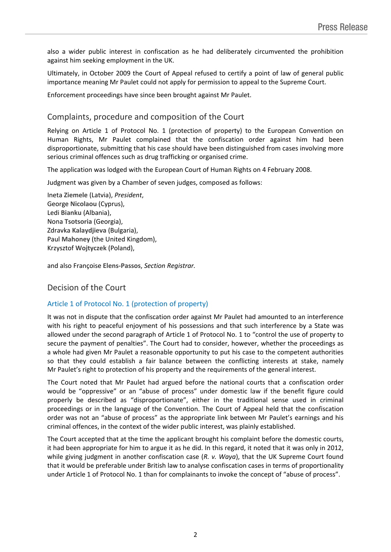also a wider public interest in confiscation as he had deliberately circumvented the prohibition against him seeking employment in the UK.

Ultimately, in October 2009 the Court of Appeal refused to certify a point of law of general public importance meaning Mr Paulet could not apply for permission to appeal to the Supreme Court.

Enforcement proceedings have since been brought against Mr Paulet.

## Complaints, procedure and composition of the Court

Relying on Article 1 of Protocol No. 1 (protection of property) to the European Convention on Human Rights, Mr Paulet complained that the confiscation order against him had been disproportionate, submitting that his case should have been distinguished from cases involving more serious criminal offences such as drug trafficking or organised crime.

The application was lodged with the European Court of Human Rights on 4 February 2008.

Judgment was given by a Chamber of seven judges, composed as follows:

Ineta **Ziemele** (Latvia), *President*, George **Nicolaou** (Cyprus), Ledi **Bianku** (Albania), Nona **Tsotsoria** (Georgia), Zdravka **Kalaydjieva** (Bulgaria), Paul **Mahoney** (the United Kingdom), Krzysztof **Wojtyczek** (Poland),

and also Françoise **Elens-Passos**, *Section Registrar.*

## Decision of the Court

### Article 1 of Protocol No. 1 (protection of property)

It was not in dispute that the confiscation order against Mr Paulet had amounted to an interference with his right to peaceful enjoyment of his possessions and that such interference by a State was allowed under the second paragraph of Article 1 of Protocol No. 1 to "control the use of property to secure the payment of penalties". The Court had to consider, however, whether the proceedings as a whole had given Mr Paulet a reasonable opportunity to put his case to the competent authorities so that they could establish a fair balance between the conflicting interests at stake, namely Mr Paulet's right to protection of his property and the requirements of the general interest.

The Court noted that Mr Paulet had argued before the national courts that a confiscation order would be "oppressive" or an "abuse of process" under domestic law if the benefit figure could properly be described as "disproportionate", either in the traditional sense used in criminal proceedings or in the language of the Convention. The Court of Appeal held that the confiscation order was not an "abuse of process" as the appropriate link between Mr Paulet's earnings and his criminal offences, in the context of the wider public interest, was plainly established.

The Court accepted that at the time the applicant brought his complaint before the domestic courts, it had been appropriate for him to argue it as he did. In this regard, it noted that it was only in 2012, while giving judgment in another confiscation case (*R. v. Waya*), that the UK Supreme Court found that it would be preferable under British law to analyse confiscation cases in terms of proportionality under Article 1 of Protocol No. 1 than for complainants to invoke the concept of "abuse of process".